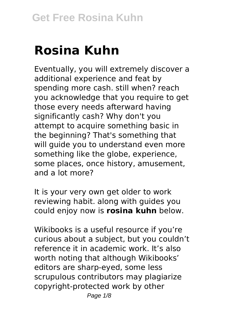# **Rosina Kuhn**

Eventually, you will extremely discover a additional experience and feat by spending more cash. still when? reach you acknowledge that you require to get those every needs afterward having significantly cash? Why don't you attempt to acquire something basic in the beginning? That's something that will guide you to understand even more something like the globe, experience, some places, once history, amusement, and a lot more?

It is your very own get older to work reviewing habit. along with guides you could enjoy now is **rosina kuhn** below.

Wikibooks is a useful resource if you're curious about a subject, but you couldn't reference it in academic work. It's also worth noting that although Wikibooks' editors are sharp-eyed, some less scrupulous contributors may plagiarize copyright-protected work by other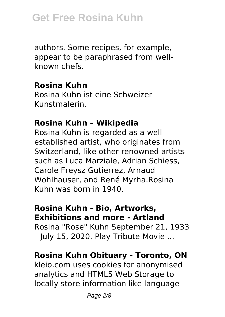authors. Some recipes, for example, appear to be paraphrased from wellknown chefs.

#### **Rosina Kuhn**

Rosina Kuhn ist eine Schweizer Kunstmalerin.

## **Rosina Kuhn – Wikipedia**

Rosina Kuhn is regarded as a well established artist, who originates from Switzerland, like other renowned artists such as Luca Marziale, Adrian Schiess, Carole Freysz Gutierrez, Arnaud Wohlhauser, and René Myrha.Rosina Kuhn was born in 1940.

#### **Rosina Kuhn - Bio, Artworks, Exhibitions and more - Artland**

Rosina "Rose" Kuhn September 21, 1933

– July 15, 2020. Play Tribute Movie ...

## **Rosina Kuhn Obituary - Toronto, ON**

kleio.com uses cookies for anonymised analytics and HTML5 Web Storage to locally store information like language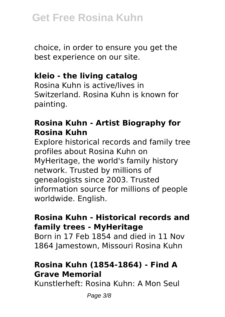choice, in order to ensure you get the best experience on our site.

# **kleio - the living catalog**

Rosina Kuhn is active/lives in Switzerland. Rosina Kuhn is known for painting.

# **Rosina Kuhn - Artist Biography for Rosina Kuhn**

Explore historical records and family tree profiles about Rosina Kuhn on MyHeritage, the world's family history network. Trusted by millions of genealogists since 2003. Trusted information source for millions of people worldwide. English.

# **Rosina Kuhn - Historical records and family trees - MyHeritage**

Born in 17 Feb 1854 and died in 11 Nov 1864 Jamestown, Missouri Rosina Kuhn

# **Rosina Kuhn (1854-1864) - Find A Grave Memorial**

Kunstlerheft: Rosina Kuhn: A Mon Seul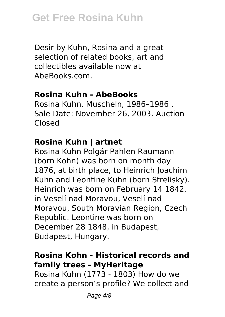Desir by Kuhn, Rosina and a great selection of related books, art and collectibles available now at AbeBooks.com.

#### **Rosina Kuhn - AbeBooks**

Rosina Kuhn. Muscheln, 1986–1986 . Sale Date: November 26, 2003. Auction Closed

## **Rosina Kuhn | artnet**

Rosina Kuhn Polgár Pahlen Raumann (born Kohn) was born on month day 1876, at birth place, to Heinrich Joachim Kuhn and Leontine Kuhn (born Strelisky). Heinrich was born on February 14 1842, in Veselí nad Moravou, Veselí nad Moravou, South Moravian Region, Czech Republic. Leontine was born on December 28 1848, in Budapest, Budapest, Hungary.

# **Rosina Kohn - Historical records and family trees - MyHeritage**

Rosina Kuhn (1773 - 1803) How do we create a person's profile? We collect and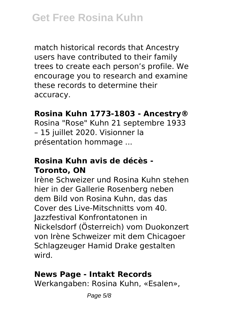match historical records that Ancestry users have contributed to their family trees to create each person's profile. We encourage you to research and examine these records to determine their accuracy.

#### **Rosina Kuhn 1773-1803 - Ancestry®**

Rosina "Rose" Kuhn 21 septembre 1933 – 15 juillet 2020. Visionner la présentation hommage ...

## **Rosina Kuhn avis de décès - Toronto, ON**

Irène Schweizer und Rosina Kuhn stehen hier in der Gallerie Rosenberg neben dem Bild von Rosina Kuhn, das das Cover des Live-Mitschnitts vom 40. Jazzfestival Konfrontatonen in Nickelsdorf (Österreich) vom Duokonzert von Irène Schweizer mit dem Chicagoer Schlagzeuger Hamid Drake gestalten wird.

## **News Page - Intakt Records**

Werkangaben: Rosina Kuhn, «Esalen»,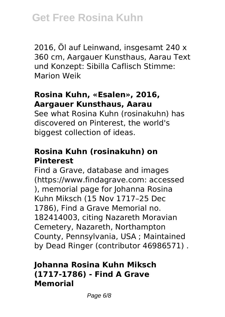2016, Öl auf Leinwand, insgesamt 240 x 360 cm, Aargauer Kunsthaus, Aarau Text und Konzept: Sibilla Caflisch Stimme: Marion Weik

#### **Rosina Kuhn, «Esalen», 2016, Aargauer Kunsthaus, Aarau**

See what Rosina Kuhn (rosinakuhn) has discovered on Pinterest, the world's biggest collection of ideas.

# **Rosina Kuhn (rosinakuhn) on Pinterest**

Find a Grave, database and images (https://www.findagrave.com: accessed ), memorial page for Johanna Rosina Kuhn Miksch (15 Nov 1717–25 Dec 1786), Find a Grave Memorial no. 182414003, citing Nazareth Moravian Cemetery, Nazareth, Northampton County, Pennsylvania, USA ; Maintained by Dead Ringer (contributor 46986571) .

# **Johanna Rosina Kuhn Miksch (1717-1786) - Find A Grave Memorial**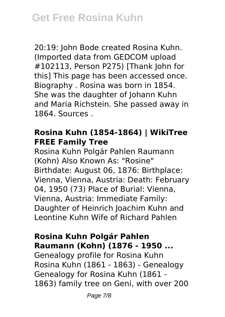20:19: John Bode created Rosina Kuhn. (Imported data from GEDCOM upload #102113, Person P275) [Thank John for this] This page has been accessed once. Biography . Rosina was born in 1854. She was the daughter of Johann Kuhn and Maria Richstein. She passed away in 1864. Sources .

## **Rosina Kuhn (1854-1864) | WikiTree FREE Family Tree**

Rosina Kuhn Polgár Pahlen Raumann (Kohn) Also Known As: "Rosine" Birthdate: August 06, 1876: Birthplace: Vienna, Vienna, Austria: Death: February 04, 1950 (73) Place of Burial: Vienna, Vienna, Austria: Immediate Family: Daughter of Heinrich Joachim Kuhn and Leontine Kuhn Wife of Richard Pahlen

# **Rosina Kuhn Polgár Pahlen Raumann (Kohn) (1876 - 1950 ...**

Genealogy profile for Rosina Kuhn Rosina Kuhn (1861 - 1863) - Genealogy Genealogy for Rosina Kuhn (1861 - 1863) family tree on Geni, with over 200